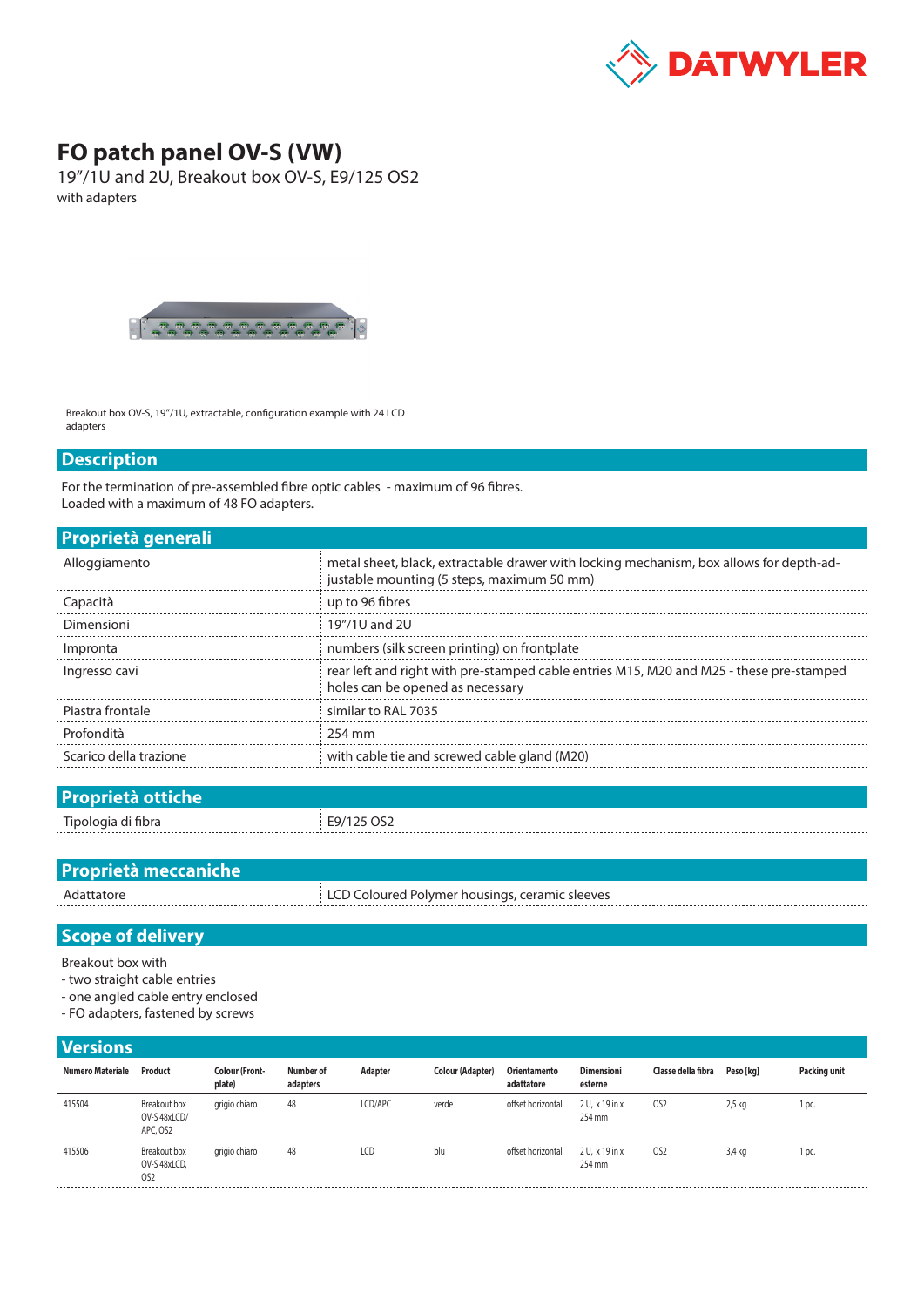

## **FO patch panel OV-S (VW)**

19"/1U and 2U, Breakout box OV-S, E9/125 OS2 with adapters



Breakout box OV-S, 19"/1U, extractable, configuration example with 24 LCD adapters

## **Description**

For the termination of pre-assembled fibre optic cables - maximum of 96 fibres. Loaded with a maximum of 48 FO adapters.

|  |  | Proprietà generali |  |
|--|--|--------------------|--|
|  |  |                    |  |

| Alloggiamento          | metal sheet, black, extractable drawer with locking mechanism, box allows for depth-ad-<br>justable mounting (5 steps, maximum 50 mm) |
|------------------------|---------------------------------------------------------------------------------------------------------------------------------------|
| Capacità               | up to 96 fibres                                                                                                                       |
| Dimensioni             | 19"/1U and 2U                                                                                                                         |
| Impronta               | numbers (silk screen printing) on frontplate                                                                                          |
| Ingresso cavi          | rear left and right with pre-stamped cable entries M15, M20 and M25 - these pre-stamped<br>holes can be opened as necessary           |
| Piastra frontale       | similar to RAL 7035                                                                                                                   |
| Profondità             | 254 mm                                                                                                                                |
| Scarico della trazione | with cable tie and screwed cable gland (M20)                                                                                          |
|                        |                                                                                                                                       |

| <b>Proprietà ottiche</b> |            |
|--------------------------|------------|
| Tipologia di fibra       | E9/125 OS2 |
| .                        | ------     |

| <b>Proprietà meccaniche</b> |                                                |
|-----------------------------|------------------------------------------------|
| Adattatore                  | LCD Coloured Polymer housings, ceramic sleeves |

## **Scope of delivery**

Breakout box with

- two straight cable entries
- one angled cable entry enclosed
- FO adapters, fastened by screws

| <b>Versions</b>  |                                                 |                                 |                       |         |                  |                            |                              |                    |                   |              |
|------------------|-------------------------------------------------|---------------------------------|-----------------------|---------|------------------|----------------------------|------------------------------|--------------------|-------------------|--------------|
| Numero Materiale | Product                                         | <b>Colour (Front-</b><br>plate) | Number of<br>adapters | Adapter | Colour (Adapter) | Orientamento<br>adattatore | <b>Dimensioni</b><br>esterne | Classe della fibra | Peso [kg]         | Packing unit |
| 415504           | Breakout box<br>OV-S 48xLCD/<br>APC. OS2        | grigio chiaro                   | 48                    | LCD/APC | verde            | offset horizontal          | $2U. x19$ in x<br>254 mm     | OS <sub>2</sub>    | 2.5 <sub>kq</sub> | l pc.        |
| 415506           | Breakout box<br>OV-S 48xLCD,<br>OS <sub>2</sub> | grigio chiaro                   | 48                    | LCD     | blu              | offset horizontal          | 2 U. x 19 in x<br>254 mm     | OS <sub>2</sub>    | 3,4 kg            | l pc.        |